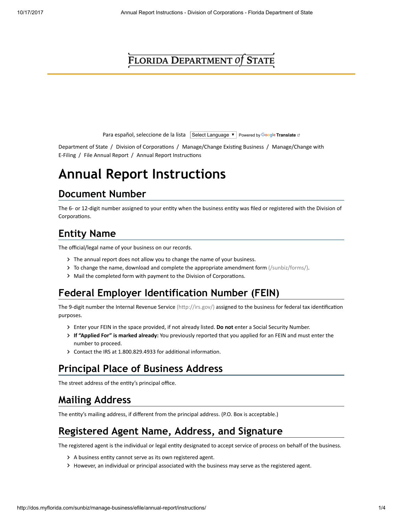## FLORIDA DEPARTMENT Of STATE

Para español, seleccione de la lista Select Language  $\mathbf{v}$  Powered by Google [Translate](https://translate.google.com/) of

[Department of State](http://dos.myflorida.com/) / Division of Corporations / [M](http://dos.myflorida.com/sunbiz/manage-business/efile/)anage/Change Exi[s](http://dos.myflorida.com/sunbiz/manage-business/efile/)ting Business / Manage/Change with E-Filing / [File Annual Report](http://dos.myflorida.com/sunbiz/manage-business/efile/annual-report/) / Annual Report Instructions

# Annual Report Instructions

### Document Number

The 6- or 12-digit number assigned to your entity when the business entity was filed or registered with the Division of Corporations.

## Entity Name

The official/legal name of your business on our records.

- > The annual report does not allow you to change the name of your business.
- To change the name, [download and complete the appropriate amendment form \(/sunbiz/forms/\)](http://dos.myflorida.com/sunbiz/forms/).
- > Mail the completed form with payment to the Division of Corporations.

### Federal Employer Identification Number (FEIN)

The 9-digit number the Internal Revenue Service (http://irs.gov/) assigned to the business for federal tax identification purposes.

- Finter your FEIN in the space provided, if not already listed. Do not enter a Social Security Number.
- If "Applied For" is marked already: You previously reported that you applied for an FEIN and must enter the number to proceed.
- $\triangleright$  Contact the IRS at 1.800.829.4933 for additional information.

### Principal Place of Business Address

The street address of the entity's principal office.

## Mailing Address

The entity's mailing address, if different from the principal address. (P.O. Box is acceptable.)

## Registered Agent Name, Address, and Signature

The registered agent is the individual or legal entity designated to accept service of process on behalf of the business.

- $\blacktriangleright$  A business entity cannot serve as its own registered agent.
- However, an individual or principal associated with the business may serve as the registered agent.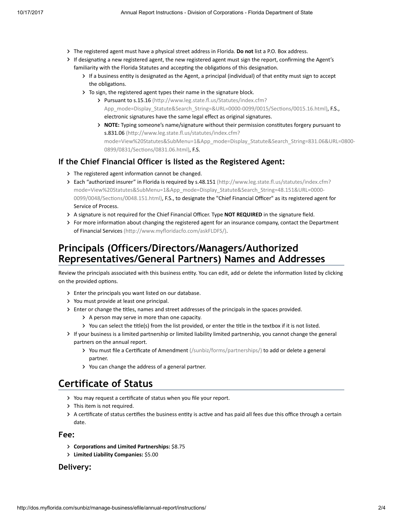- The registered agent must have a physical street address in Florida. Do not list a P.O. Box address.
- If designating a new registered agent, the new registered agent must sign the report, confirming the Agent's familiarity with the Florida Statutes and accepting the obligations of this designation.
	- If a business entity is designated as the Agent, a principal (individual) of that entity must sign to accept the obligations.
	- To sign, the registered agent types their name in the signature block.
		- > Pursuant to s.15.16 (http://www.leg.state.fl.us/Statutes/index.cfm? App\_mode=Display\_Statute&Search\_String=&URL=0000-0099/0015/Sections/0015.16.html), F.S., electronic signatures have the same legal effect as original signatures.
		- > NOTE: Typing someone's name/signature without their permission constitutes forgery pursuant to s.831.06 (http://www.leg.state.fl.us/statutes/index.cfm? [mode=View%20Statutes&SubMenu=1&App\\_mode=Display\\_Statute&Search\\_String=831.06&URL=0800-](http://www.leg.state.fl.us/statutes/index.cfm?mode=View%20Statutes&SubMenu=1&App_mode=Display_Statute&Search_String=831.06&URL=0800-0899/0831/Sections/0831.06.html) 0899/0831/Sections/0831.06.html), F.S.

#### If the Chief Financial Officer is listed as the Registered Agent:

- $\triangleright$  The registered agent information cannot be changed.
- Interach "authorized insurer" in Florida is required by s.48.151 (http://www.leg.state.fl.us/statutes/index.cfm? mode=View%20Statutes&SubMenu=1&App\_mode=Display\_Statute&Search\_String=48.151&URL=0000- 0099/0048/Sections/0048.151.html), F.S., to designate the "Chief Financial Officer" as its registered agent for Service of Process.
- > A signature is not required for the Chief Financial Officer. Type NOT REQUIRED in the signature field.
- For more information about changing the registered agent for an insurance company, contact the Department of Financial Services (http://www.myfloridacfo.com/askFLDFS/).

### Principals (Officers/Directors/Managers/Authorized Representatives/General Partners) Names and Addresses

Review the principals associated with this business entity. You can edit, add or delete the information listed by clicking on the provided options.

- Enter the principals you want listed on our database.
- You must provide at least one principal.
- > Enter or change the titles, names and street addresses of the principals in the spaces provided.
	- > A person may serve in more than one capacity.
	- You can select the title(s) from the list provided, or enter the title in the textbox if it is not listed.
- If your business is a limited partnership or limited liability limited partnership, you cannot change the general partners on the annual report.
	- > You must file a Certificate of Amendment (/sunbiz/forms/partnerships/) to add or delete a general partner.
	- You can change the address of a general partner.

### Certificate of Status

- You may request a certificate of status when you file your report.
- > This item is not required.
- $>$  A certificate of status certifies the business entity is active and has paid all fees due this office through a certain date.

#### Fee:

- **Corporations and Limited Partnerships: \$8.75**
- Limited Liability Companies: \$5.00

#### Delivery: